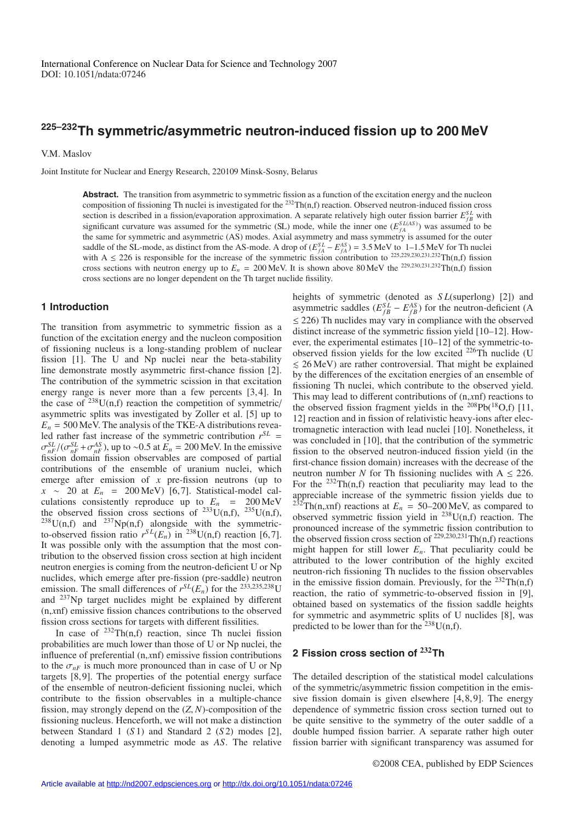# **225–232Th symmetric/asymmetric neutron-induced fission up to 200 MeV**

V.M. Maslov

Joint Institute for Nuclear and Energy Research, 220109 Minsk-Sosny, Belarus

Abstract. The transition from asymmetric to symmetric fission as a function of the excitation energy and the nucleon composition of fissioning Th nuclei is investigated for the  $^{232}Th(n,f)$  reaction. Observed neutron-induced fission cross section is described in a fission/evaporation approximation. A separate relatively high outer fission barrier  $E_{fB}^{SL}$  with significant curvature was assumed for the symmetric (SL) mode, while the inner one  $(E_{fA}^{SL(AS)})$  was assumed to be the same for symmetric and asymmetric (AS) modes. Axial asymmetry and mass symmetry is assumed for the outer saddle of the SL-mode, as distinct from the AS-mode. A drop of  $(E_{fA}^{SL} - E_{fA}^{AS}) = 3.5$  MeV to 1–1.5 MeV for Th nuclei with A  $\leq$  226 is responsible for the increase of the symmetric fission contribution to <sup>225,229,230,231,232</sup>Th(n,f) fission cross sections with neutron energy up to  $E_n = 200 \text{ MeV}$ . It is shown above 80 MeV the <sup>229,230,231,232</sup>Th(n,f) fission cross sections are no longer dependent on the Th target nuclide fissility.

## **1 Introduction**

The transition from asymmetric to symmetric fission as a function of the excitation energy and the nucleon composition of fissioning nucleus is a long-standing problem of nuclear fission [1]. The U and Np nuclei near the beta-stability line demonstrate mostly asymmetric first-chance fission [2]. The contribution of the symmetric scission in that excitation energy range is never more than a few percents [3, 4]. In the case of  $238$ U(n,f) reaction the competition of symmetric/ asymmetric splits was investigated by Zoller et al. [5] up to  $E_n = 500$  MeV. The analysis of the TKE-A distributions revealed rather fast increase of the symmetric contribution  $r^{SL}$  =  $\sigma_{nF}^{SL}/(\sigma_{nF}^{SL} + \sigma_{nF}^{AS})$ , up to ~0.5 at  $E_n = 200$  MeV. In the emissive fission domain fission observables are composed of partial contributions of the ensemble of uranium nuclei, which emerge after emission of *x* pre-fission neutrons (up to *x* ∼ 20 at *E<sub>n</sub>* = 200 MeV) [6,7]. Statistical-model calculations consistently reproduce up to  $E_n$  = 200 MeV the observed fission cross sections of  $^{233}U(n,f)$ ,  $^{235}U(n,f)$ ,  $^{238}U(n,f)$  and  $^{237}Np(n,f)$  alongside with the symmetricto-observed fission ratio  $r^{SL}(E_n)$  in <sup>238</sup>U(n,f) reaction [6,7]. It was possible only with the assumption that the most contribution to the observed fission cross section at high incident neutron energies is coming from the neutron-deficient U or Np nuclides, which emerge after pre-fission (pre-saddle) neutron emission. The small differences of  $r^{SL}(E_n)$  for the <sup>233,235,238</sup>U and 237Np target nuclides might be explained by different (n,*x*nf) emissive fission chances contributions to the observed fission cross sections for targets with different fissilities.

In case of  $^{232}$ Th(n,f) reaction, since Th nuclei fission probabilities are much lower than those of U or Np nuclei, the influence of preferential (n,*x*nf) emissive fission contributions to the  $\sigma_{nF}$  is much more pronounced than in case of U or Np targets [8, 9]. The properties of the potential energy surface of the ensemble of neutron-deficient fissioning nuclei, which contribute to the fission observables in a multiple-chance fission, may strongly depend on the (*Z*, *N*)-composition of the fissioning nucleus. Henceforth, we will not make a distinction between Standard 1 (*S* 1) and Standard 2 (*S* 2) modes [2], denoting a lumped asymmetric mode as *AS*. The relative

heights of symmetric (denoted as *S L*(superlong) [2]) and asymmetric saddles ( $E_{fB}^{SL} - E_{fB}^{AS}$ ) for the neutron-deficient (A  $\leq$  226) Th nuclides may vary in compliance with the observed distinct increase of the symmetric fission yield [10–12]. However, the experimental estimates [10–12] of the symmetric-toobserved fission yields for the low excited 226Th nuclide (U  $\leq$  26 MeV) are rather controversial. That might be explained by the differences of the excitation energies of an ensemble of fissioning Th nuclei, which contribute to the observed yield. This may lead to different contributions of (n,*x*nf) reactions to the observed fission fragment yields in the  $^{208}Pb(^{18}O,f)$  [11, 12] reaction and in fission of relativistic heavy-ions after electromagnetic interaction with lead nuclei [10]. Nonetheless, it was concluded in [10], that the contribution of the symmetric fission to the observed neutron-induced fission yield (in the first-chance fission domain) increases with the decrease of the neutron number *N* for Th fissioning nuclides with  $A \leq 226$ . For the  $232Th(n,f)$  reaction that peculiarity may lead to the appreciable increase of the symmetric fission yields due to <sup>232</sup>Th(n,*x*nf) reactions at  $E_n = 50-200$  MeV, as compared to observed symmetric fission yield in  $^{238}$ U(n,f) reaction. The pronounced increase of the symmetric fission contribution to the observed fission cross section of  $^{229,230,231}$ Th(n,f) reactions might happen for still lower  $E_n$ . That peculiarity could be attributed to the lower contribution of the highly excited neutron-rich fissioning Th nuclides to the fission observables in the emissive fission domain. Previously, for the  $^{232}Th(n,f)$ reaction, the ratio of symmetric-to-observed fission in [9], obtained based on systematics of the fission saddle heights for symmetric and asymmetric splits of U nuclides [8], was predicted to be lower than for the <sup>238</sup>U(n,f).

## **2 Fission cross section of <sup>232</sup>Th**

The detailed description of the statistical model calculations of the symmetric/asymmetric fission competition in the emissive fission domain is given elsewhere  $[4, 8, 9]$ . The energy dependence of symmetric fission cross section turned out to be quite sensitive to the symmetry of the outer saddle of a double humped fission barrier. A separate rather high outer fission barrier with significant transparency was assumed for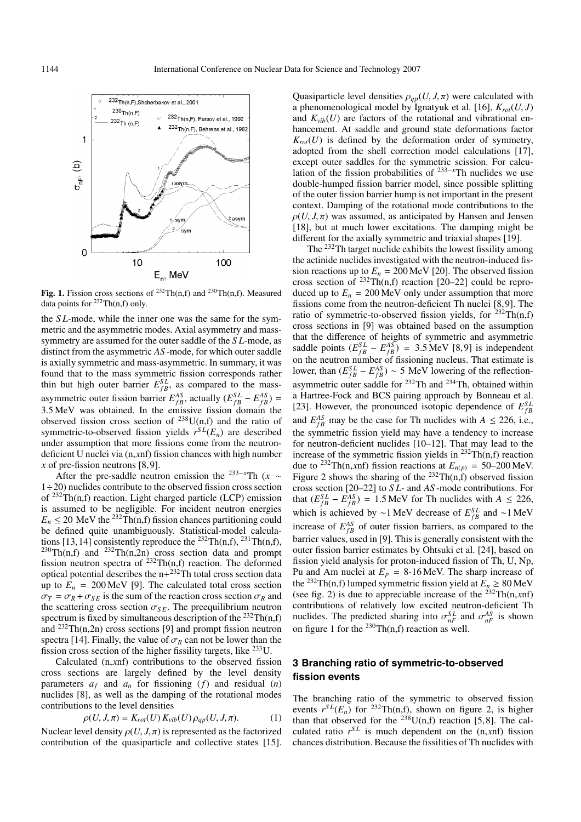

**Fig. 1.** Fission cross sections of <sup>232</sup>Th(n,f) and <sup>230</sup>Th(n,f). Measured data points for  $^{232}Th(n,f)$  only.

the *S L*-mode, while the inner one was the same for the symmetric and the asymmetric modes. Axial asymmetry and masssymmetry are assumed for the outer saddle of the *S L*-mode, as distinct from the asymmetric *AS* -mode, for which outer saddle is axially symmetric and mass-asymmetric. In summary, it was found that to the mass symmetric fission corresponds rather thin but high outer barrier  $E_{fB}^{SL}$ , as compared to the massasymmetric outer fission barrier  $E_{fB}^{AS}$ , actually  $(E_{fB}^{SL} - E_{fB}^{AS})$  = 3.5 MeV was obtained. In the emissive fission domain the observed fission cross section of  $^{238}$ U(n,f) and the ratio of symmetric-to-observed fission yields  $r^{SL}(E_n)$  are described under assumption that more fissions come from the neutrondeficient U nuclei via (n,*x*nf) fission chances with high number *x* of pre-fission neutrons [8, 9].

After the pre-saddle neutron emission the <sup>233–*x*Th ( $x \sim$ </sup>  $1 \div 20$ ) nuclides contribute to the observed fission cross section of  $^{232}$ Th(n,f) reaction. Light charged particle (LCP) emission is assumed to be negligible. For incident neutron energies  $E_n \leq 20$  MeV the <sup>232</sup>Th(n,f) fission chances partitioning could be defined quite unambiguously. Statistical-model calculations [13, 14] consistently reproduce the  $^{232}Th(n,f)$ ,  $^{231}Th(n,f)$ ,  $^{230}Th(n,f)$  and  $^{232}Th(n,2n)$  cross section data and prompt fission neutron spectra of  $^{232}Th(n,f)$  reaction. The deformed optical potential describes the  $n+232$ Th total cross section data up to  $E_n = 200 \text{ MeV}$  [9]. The calculated total cross section  $\sigma_T = \sigma_R + \sigma_{SE}$  is the sum of the reaction cross section  $\sigma_R$  and the scattering cross section  $\sigma_{SE}$ . The preequilibrium neutron spectrum is fixed by simultaneous description of the  $^{232}Th(n,f)$ and  $^{232}Th(n,2n)$  cross sections [9] and prompt fission neutron spectra [14]. Finally, the value of  $\sigma_R$  can not be lower than the fission cross section of the higher fissility targets, like 233U.

Calculated (n,*x*nf) contributions to the observed fission cross sections are largely defined by the level density parameters  $a_f$  and  $a_n$  for fissioning  $(f)$  and residual  $(n)$ nuclides [8], as well as the damping of the rotational modes contributions to the level densities

$$
\rho(U, J, \pi) = K_{rot}(U) K_{vib}(U) \rho_{qp}(U, J, \pi). \tag{1}
$$

Nuclear level density  $\rho(U, J, \pi)$  is represented as the factorized contribution of the quasiparticle and collective states [15]. Quasiparticle level densities  $\rho_{qp}(U, J, \pi)$  were calculated with a phenomenological model by Ignatyuk et al. [16],  $K_{rot}(U, J)$ and  $K_{vib}(U)$  are factors of the rotational and vibrational enhancement. At saddle and ground state deformations factor  $K_{rot}(U)$  is defined by the deformation order of symmetry, adopted from the shell correction model calculations [17], except outer saddles for the symmetric scission. For calculation of the fission probabilities of <sup>233</sup>−*<sup>x</sup>*Th nuclides we use double-humped fission barrier model, since possible splitting of the outer fission barrier hump is not important in the present context. Damping of the rotational mode contributions to the  $\rho(U, J, \pi)$  was assumed, as anticipated by Hansen and Jensen [18], but at much lower excitations. The damping might be different for the axially symmetric and triaxial shapes [19].

The <sup>232</sup>Th target nuclide exhibits the lowest fissility among the actinide nuclides investigated with the neutron-induced fission reactions up to  $E_n = 200 \,\text{MeV}$  [20]. The observed fission cross section of  $^{232}Th(n,f)$  reaction [20–22] could be reproduced up to  $E_n = 200 \,\text{MeV}$  only under assumption that more fissions come from the neutron-deficient Th nuclei [8, 9]. The ratio of symmetric-to-observed fission yields, for  $^{232}Th(n,f)$ cross sections in [9] was obtained based on the assumption that the difference of heights of symmetric and asymmetric saddle points  $(E_{fB}^{SL} - E_{fB}^{AS}) = 3.5 \text{ MeV}$  [8,9] is independent on the neutron number of fissioning nucleus. That estimate is lower, than  $(E_{fB}^{SL} - E_{fB}^{AS}) \sim 5$  MeV lowering of the reflectionasymmetric outer saddle for <sup>232</sup>Th and <sup>234</sup>Th, obtained within a Hartree-Fock and BCS pairing approach by Bonneau et al. [23]. However, the pronounced isotopic dependence of  $E_{fB}^{SL}$ and  $E_{fB}^{AS}$  may be the case for Th nuclides with  $A \le 226$ , i.e., the symmetric fission yield may have a tendency to increase for neutron-deficient nuclides [10–12]. That may lead to the increase of the symmetric fission yields in  $^{232}Th(n,f)$  reaction due to <sup>232</sup>Th(n,*xnf*) fission reactions at  $E_{n(p)} = 50-200$  MeV. Figure 2 shows the sharing of the  $^{232}$ Th(n,f) observed fission cross section [20–22] to *S L*- and *AS* -mode contributions. For that  $(E_{fB}^{SL} - E_{fB}^{AS}) = 1.5 \text{ MeV}$  for Th nuclides with  $A \leq 226$ , which is achieved by ∼1 MeV decrease of  $E_{fB}^{SL}$  and ∼1 MeV increase of  $E_{fB}^{AS}$  of outer fission barriers, as compared to the barrier values, used in [9]. This is generally consistent with the outer fission barrier estimates by Ohtsuki et al. [24], based on fission yield analysis for proton-induced fission of Th, U, Np, Pu and Am nuclei at  $E_p = 8-16$  MeV. The sharp increase of the <sup>232</sup>Th(n,f) lumped symmetric fission yield at  $E_n \geq 80$  MeV (see fig. 2) is due to appreciable increase of the  $232$ Th(n,xnf) contributions of relatively low excited neutron-deficient Th nuclides. The predicted sharing into  $\sigma_{nF}^{SL}$  and  $\sigma_{nF}^{AS}$  is shown on figure 1 for the  $^{230}$ Th(n,f) reaction as well.

# **3 Branching ratio of symmetric-to-observed fission events**

The branching ratio of the symmetric to observed fission events  $r^{SL}(E_n)$  for <sup>232</sup>Th(n,f), shown on figure 2, is higher than that observed for the  $238$ U(n,f) reaction [5,8]. The calculated ratio  $r^{SL}$  is much dependent on the  $(n, xnf)$  fission chances distribution. Because the fissilities of Th nuclides with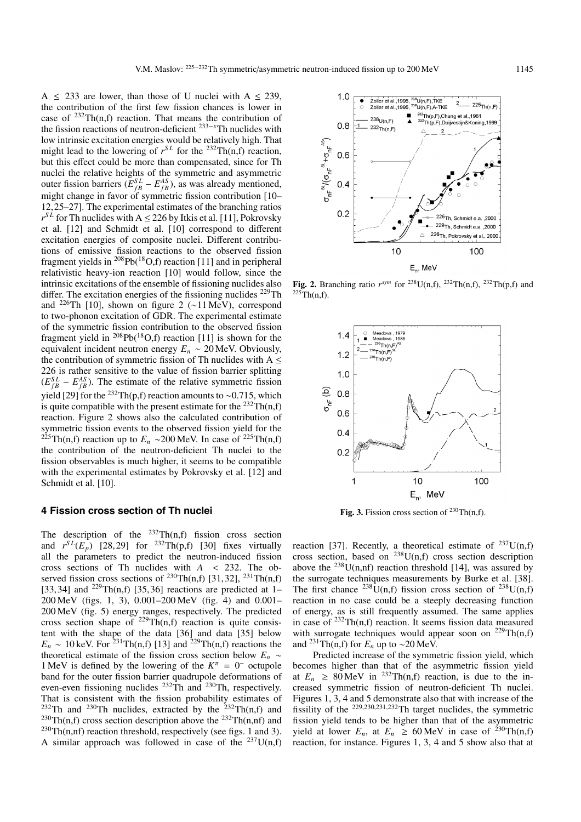A  $\leq$  233 are lower, than those of U nuclei with A  $\leq$  239, the contribution of the first few fission chances is lower in case of  $^{232}Th(n,f)$  reaction. That means the contribution of the fission reactions of neutron-deficient <sup>233</sup>−*<sup>x</sup>* Th nuclides with low intrinsic excitation energies would be relatively high. That might lead to the lowering of  $r^{SL}$  for the <sup>232</sup>Th(n,f) reaction, but this effect could be more than compensated, since for Th nuclei the relative heights of the symmetric and asymmetric outer fission barriers  $(E_{fB}^{SL} - E_{fB}^{AS})$ , as was already mentioned, might change in favor of symmetric fission contribution [10– 12, 25–27]. The experimental estimates of the branching ratios  $r^{SL}$  for Th nuclides with A  $\leq$  226 by Itkis et al. [11], Pokrovsky et al. [12] and Schmidt et al. [10] correspond to different excitation energies of composite nuclei. Different contributions of emissive fission reactions to the observed fission fragment yields in  $^{208}Pb(^{18}O,f)$  reaction [11] and in peripheral relativistic heavy-ion reaction [10] would follow, since the intrinsic excitations of the ensemble of fissioning nuclides also differ. The excitation energies of the fissioning nuclides  $^{229}$ Th and 226Th [10], shown on figure 2 (∼11 MeV), correspond to two-phonon excitation of GDR. The experimental estimate of the symmetric fission contribution to the observed fission fragment yield in  $^{208}Pb(^{18}O,f)$  reaction [11] is shown for the equivalent incident neutron energy  $E_n \sim 20$  MeV. Obviously, the contribution of symmetric fission of Th nuclides with  $A \leq$ 226 is rather sensitive to the value of fission barrier splitting  $(E_{fB}^{SL} - E_{fB}^{AS})$ . The estimate of the relative symmetric fission yield [29] for the <sup>232</sup>Th(p,f) reaction amounts to ~0.715, which is quite compatible with the present estimate for the  $^{232}Th(n,f)$ reaction. Figure 2 shows also the calculated contribution of symmetric fission events to the observed fission yield for the <sup>225</sup>Th(n,f) reaction up to  $E_n \sim 200$  MeV. In case of <sup>225</sup>Th(n,f) the contribution of the neutron-deficient Th nuclei to the fission observables is much higher, it seems to be compatible with the experimental estimates by Pokrovsky et al. [12] and Schmidt et al. [10].

## **4 Fission cross section of Th nuclei**

The description of the  $232Th(n,f)$  fission cross section and  $r^{SL}(E_p)$  [28, 29] for <sup>232</sup>Th(p,f) [30] fixes virtually all the parameters to predict the neutron-induced fission cross sections of Th nuclides with *A* < 232. The observed fission cross sections of  $^{230}Th(n,f)$  [31,32],  $^{231}Th(n,f)$ [33, 34] and <sup>229</sup>Th(n,f) [35, 36] reactions are predicted at 1– 200 MeV (figs. 1, 3), 0.001–200 MeV (fig. 4) and 0.001– 200 MeV (fig. 5) energy ranges, respectively. The predicted cross section shape of  $^{229}Th(n,f)$  reaction is quite consistent with the shape of the data [36] and data [35] below  $E_n \sim 10 \text{ keV}$ . For <sup>231</sup>Th(n,f) [13] and <sup>229</sup>Th(n,f) reactions the theoretical estimate of the fission cross section below *En* ∼ 1 MeV is defined by the lowering of the  $K^{\pi} = 0^-$  octupole band for the outer fission barrier quadrupole deformations of even-even fissioning nuclides  $^{232}$ Th and  $^{230}$ Th, respectively. That is consistent with the fission probability estimates of <sup>232</sup>Th and <sup>230</sup>Th nuclides, extracted by the <sup>232</sup>Th(n,f) and <sup>230</sup>Th(n,f) cross section description above the <sup>232</sup>Th(n,nf) and  $^{230}Th(n,nf)$  reaction threshold, respectively (see figs. 1 and 3). A similar approach was followed in case of the  $^{237}$ U(n,f)



**Fig. 2.** Branching ratio  $r^{sym}$  for <sup>238</sup>U(n,f), <sup>232</sup>Th(n,f), <sup>232</sup>Th(p,f) and  $225$ Th(n,f).



**Fig. 3.** Fission cross section of  $^{230}Th(n,f)$ .

reaction [37]. Recently, a theoretical estimate of  $^{237}$ U(n,f) cross section, based on  $^{238}$ U(n,f) cross section description above the  $^{238}$ U(n,nf) reaction threshold [14], was assured by the surrogate techniques measurements by Burke et al. [38]. The first chance <sup>238</sup>U(n,f) fission cross section of <sup>238</sup>U(n,f) reaction in no case could be a steeply decreasing function of energy, as is still frequently assumed. The same applies in case of  $^{232}Th(n,f)$  reaction. It seems fission data measured with surrogate techniques would appear soon on  $^{229}Th(n,f)$ and <sup>231</sup>Th(n,f) for  $E_n$  up to ~20 MeV.

Predicted increase of the symmetric fission yield, which becomes higher than that of the asymmetric fission yield at  $E_n \geq 80 \text{ MeV}$  in <sup>232</sup>Th(n,f) reaction, is due to the increased symmetric fission of neutron-deficient Th nuclei. Figures 1, 3, 4 and 5 demonstrate also that with increase of the fissility of the  $229,230,231,232$ Th target nuclides, the symmetric fission yield tends to be higher than that of the asymmetric yield at lower  $E_n$ , at  $E_n \ge 60 \,\text{MeV}$  in case of <sup>230</sup>Th(n,f) reaction, for instance. Figures 1, 3, 4 and 5 show also that at